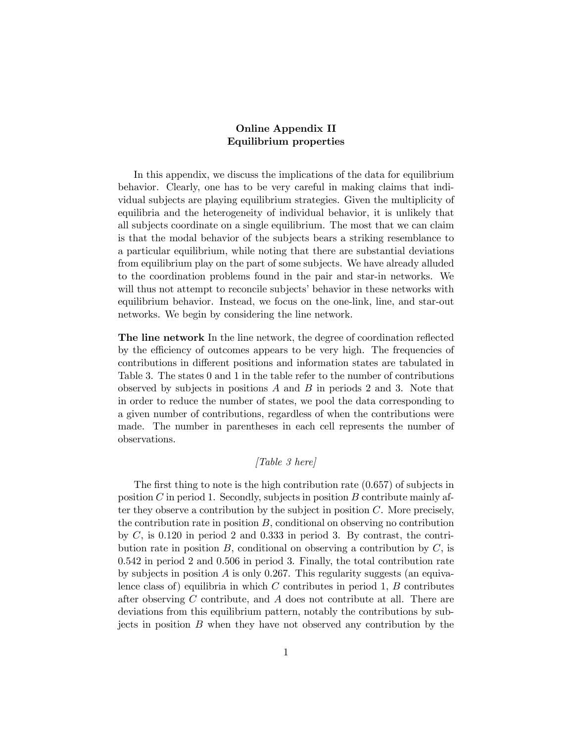## Online Appendix II Equilibrium properties

In this appendix, we discuss the implications of the data for equilibrium behavior. Clearly, one has to be very careful in making claims that individual subjects are playing equilibrium strategies. Given the multiplicity of equilibria and the heterogeneity of individual behavior, it is unlikely that all subjects coordinate on a single equilibrium. The most that we can claim is that the modal behavior of the subjects bears a striking resemblance to a particular equilibrium, while noting that there are substantial deviations from equilibrium play on the part of some subjects. We have already alluded to the coordination problems found in the pair and star-in networks. We will thus not attempt to reconcile subjects' behavior in these networks with equilibrium behavior. Instead, we focus on the one-link, line, and star-out networks. We begin by considering the line network.

The line network In the line network, the degree of coordination reflected by the efficiency of outcomes appears to be very high. The frequencies of contributions in different positions and information states are tabulated in Table 3. The states 0 and 1 in the table refer to the number of contributions observed by subjects in positions  $A$  and  $B$  in periods 2 and 3. Note that in order to reduce the number of states, we pool the data corresponding to a given number of contributions, regardless of when the contributions were made. The number in parentheses in each cell represents the number of observations.

## $[Table 3 here]$

The first thing to note is the high contribution rate  $(0.657)$  of subjects in position  $C$  in period 1. Secondly, subjects in position  $B$  contribute mainly after they observe a contribution by the subject in position  $C$ . More precisely, the contribution rate in position  $B$ , conditional on observing no contribution by  $C$ , is 0.120 in period 2 and 0.333 in period 3. By contrast, the contribution rate in position  $B$ , conditional on observing a contribution by  $C$ , is 0542 in period 2 and 0506 in period 3. Finally, the total contribution rate by subjects in position  $\tilde{A}$  is only 0.267. This regularity suggests (an equivalence class of) equilibria in which  $C$  contributes in period 1,  $B$  contributes after observing  $C$  contribute, and  $A$  does not contribute at all. There are deviations from this equilibrium pattern, notably the contributions by subjects in position  $B$  when they have not observed any contribution by the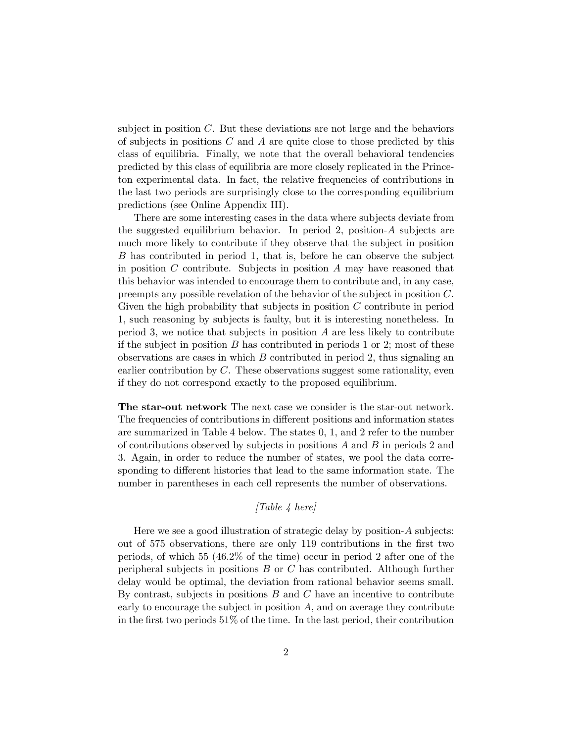subject in position  $C$ . But these deviations are not large and the behaviors of subjects in positions  $C$  and  $A$  are quite close to those predicted by this class of equilibria. Finally, we note that the overall behavioral tendencies predicted by this class of equilibria are more closely replicated in the Princeton experimental data. In fact, the relative frequencies of contributions in the last two periods are surprisingly close to the corresponding equilibrium predictions (see Online Appendix III).

There are some interesting cases in the data where subjects deviate from the suggested equilibrium behavior. In period 2, position- $A$  subjects are much more likely to contribute if they observe that the subject in position B has contributed in period 1, that is, before he can observe the subject in position  $C$  contribute. Subjects in position  $A$  may have reasoned that this behavior was intended to encourage them to contribute and, in any case, preempts any possible revelation of the behavior of the subject in position  $C$ . Given the high probability that subjects in position  $C$  contribute in period 1, such reasoning by subjects is faulty, but it is interesting nonetheless. In period 3, we notice that subjects in position  $A$  are less likely to contribute if the subject in position  $B$  has contributed in periods 1 or 2; most of these observations are cases in which  $B$  contributed in period 2, thus signaling an earlier contribution by  $C$ . These observations suggest some rationality, even if they do not correspond exactly to the proposed equilibrium.

The star-out network The next case we consider is the star-out network. The frequencies of contributions in different positions and information states are summarized in Table 4 below. The states 0, 1, and 2 refer to the number of contributions observed by subjects in positions  $A$  and  $B$  in periods 2 and 3. Again, in order to reduce the number of states, we pool the data corresponding to different histories that lead to the same information state. The number in parentheses in each cell represents the number of observations.

## $[Table 4 here]$

Here we see a good illustration of strategic delay by position- $A$  subjects: out of 575 observations, there are only 119 contributions in the first two periods, of which 55 (462% of the time) occur in period 2 after one of the peripheral subjects in positions  $B$  or  $C$  has contributed. Although further delay would be optimal, the deviation from rational behavior seems small. By contrast, subjects in positions  $B$  and  $C$  have an incentive to contribute early to encourage the subject in position  $A$ , and on average they contribute in the first two periods 51% of the time. In the last period, their contribution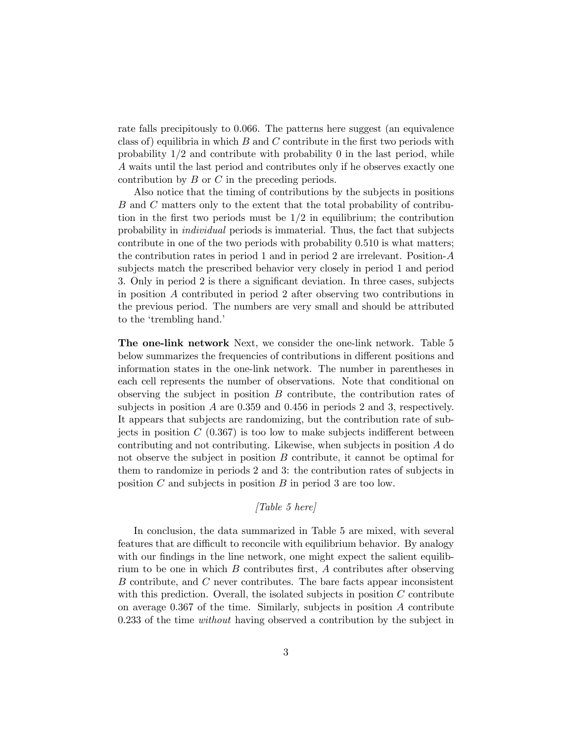rate falls precipitously to 0.066. The patterns here suggest (an equivalence class of) equilibria in which  $B$  and  $C$  contribute in the first two periods with probability  $1/2$  and contribute with probability 0 in the last period, while A waits until the last period and contributes only if he observes exactly one contribution by  $B$  or  $C$  in the preceding periods.

Also notice that the timing of contributions by the subjects in positions  $B$  and  $C$  matters only to the extent that the total probability of contribution in the first two periods must be  $1/2$  in equilibrium; the contribution probability in individual periods is immaterial. Thus, the fact that subjects contribute in one of the two periods with probability 0.510 is what matters; the contribution rates in period 1 and in period 2 are irrelevant. Position- $A$ subjects match the prescribed behavior very closely in period 1 and period 3. Only in period 2 is there a significant deviation. In three cases, subjects in position  $A$  contributed in period 2 after observing two contributions in the previous period. The numbers are very small and should be attributed to the 'trembling hand.'

The one-link network Next, we consider the one-link network. Table 5 below summarizes the frequencies of contributions in different positions and information states in the one-link network. The number in parentheses in each cell represents the number of observations. Note that conditional on observing the subject in position  $B$  contribute, the contribution rates of subjects in position  $A$  are 0.359 and 0.456 in periods 2 and 3, respectively. It appears that subjects are randomizing, but the contribution rate of subjects in position  $C(0.367)$  is too low to make subjects indifferent between contributing and not contributing. Likewise, when subjects in position  $A$  do not observe the subject in position  $B$  contribute, it cannot be optimal for them to randomize in periods 2 and 3: the contribution rates of subjects in position  $C$  and subjects in position  $B$  in period 3 are too low.

## [Table 5 here]

In conclusion, the data summarized in Table 5 are mixed, with several features that are difficult to reconcile with equilibrium behavior. By analogy with our findings in the line network, one might expect the salient equilibrium to be one in which  $B$  contributes first,  $A$  contributes after observing  $B$  contribute, and  $C$  never contributes. The bare facts appear inconsistent with this prediction. Overall, the isolated subjects in position  $C$  contribute on average  $0.367$  of the time. Similarly, subjects in position A contribute 0233 of the time without having observed a contribution by the subject in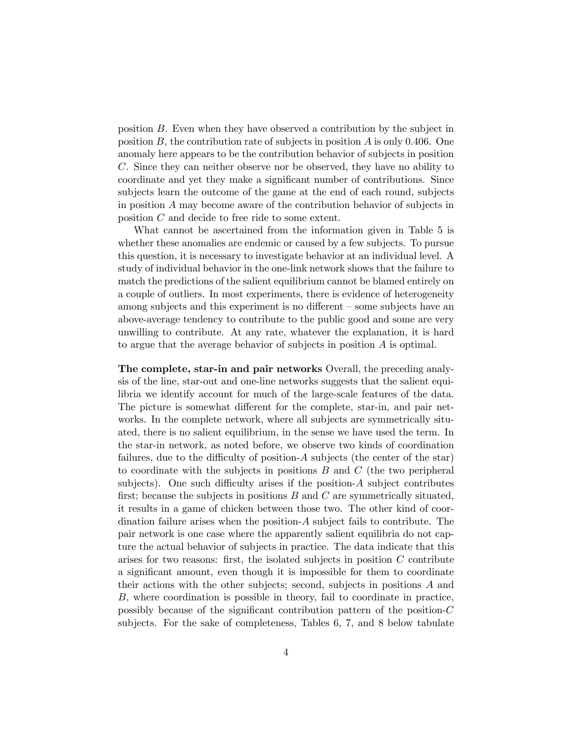position  $B$ . Even when they have observed a contribution by the subject in position  $B$ , the contribution rate of subjects in position  $A$  is only 0.406. One anomaly here appears to be the contribution behavior of subjects in position . Since they can neither observe nor be observed, they have no ability to coordinate and yet they make a significant number of contributions. Since subjects learn the outcome of the game at the end of each round, subjects in position  $A$  may become aware of the contribution behavior of subjects in position  $C$  and decide to free ride to some extent.

What cannot be ascertained from the information given in Table 5 is whether these anomalies are endemic or caused by a few subjects. To pursue this question, it is necessary to investigate behavior at an individual level. A study of individual behavior in the one-link network shows that the failure to match the predictions of the salient equilibrium cannot be blamed entirely on a couple of outliers. In most experiments, there is evidence of heterogeneity among subjects and this experiment is no different — some subjects have an above-average tendency to contribute to the public good and some are very unwilling to contribute. At any rate, whatever the explanation, it is hard to argue that the average behavior of subjects in position  $A$  is optimal.

The complete, star-in and pair networks Overall, the preceding analysis of the line, star-out and one-line networks suggests that the salient equilibria we identify account for much of the large-scale features of the data. The picture is somewhat different for the complete, star-in, and pair networks. In the complete network, where all subjects are symmetrically situated, there is no salient equilibrium, in the sense we have used the term. In the star-in network, as noted before, we observe two kinds of coordination failures, due to the difficulty of position- $A$  subjects (the center of the star) to coordinate with the subjects in positions  $B$  and  $C$  (the two peripheral subjects). One such difficulty arises if the position- $\tilde{A}$  subject contributes first; because the subjects in positions  $B$  and  $C$  are symmetrically situated, it results in a game of chicken between those two. The other kind of coordination failure arises when the position- $A$  subject fails to contribute. The pair network is one case where the apparently salient equilibria do not capture the actual behavior of subjects in practice. The data indicate that this arises for two reasons: first, the isolated subjects in position  $C$  contribute a significant amount, even though it is impossible for them to coordinate their actions with the other subjects; second, subjects in positions  $A$  and , where coordination is possible in theory, fail to coordinate in practice, possibly because of the significant contribution pattern of the position- $C$ subjects. For the sake of completeness, Tables 6, 7, and 8 below tabulate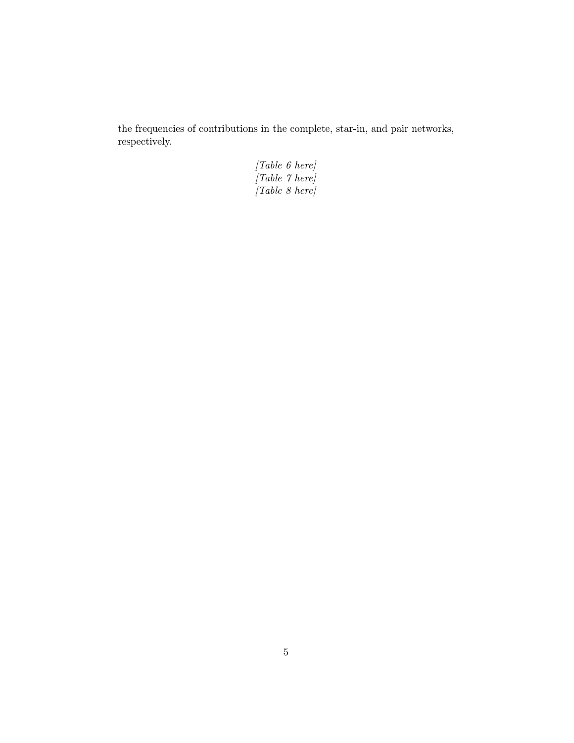the frequencies of contributions in the complete, star-in, and pair networks, respectively.

> [Table 6 here] [Table 7 here] [Table 8 here]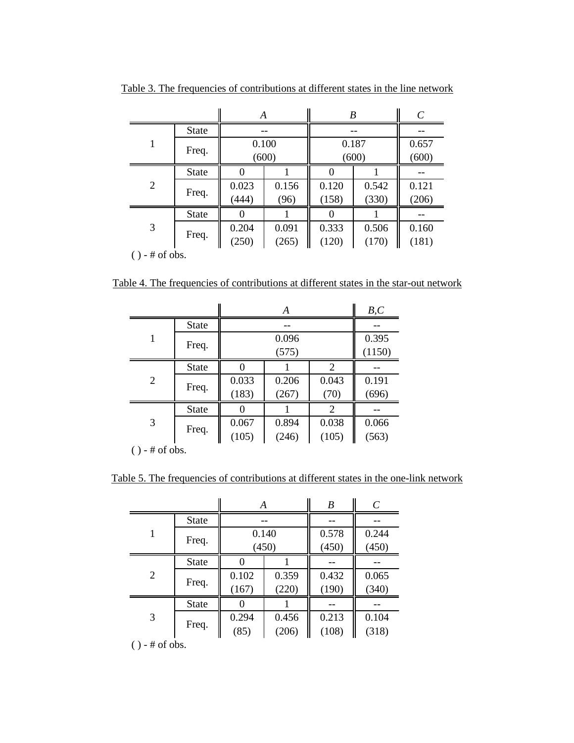|                  |              | A              |                |                | B              | C              |
|------------------|--------------|----------------|----------------|----------------|----------------|----------------|
|                  | <b>State</b> | --             |                |                |                |                |
|                  | Freq.        | 0.100<br>(600) |                | 0.187<br>(600) |                | 0.657<br>(600) |
|                  | <b>State</b> |                |                |                |                |                |
| $\overline{2}$   | Freq.        | 0.023<br>(444) | 0.156<br>(96)  | 0.120<br>(158) | 0.542<br>(330) | 0.121<br>(206) |
|                  | <b>State</b> |                |                |                |                |                |
| 3                | Freq.        | 0.204<br>(250) | 0.091<br>(265) | 0.333<br>(120) | 0.506<br>(170) | 0.160<br>(181) |
| $() - #$ of obs. |              |                |                |                |                |                |

Table 3. The frequencies of contributions at different states in the line network

Table 4. The frequencies of contributions at different states in the star-out network

|                |              |                | A               |                | B, C           |
|----------------|--------------|----------------|-----------------|----------------|----------------|
|                | <b>State</b> |                |                 |                |                |
| 1              | Freq.        |                | 0.395<br>(1150) |                |                |
|                | <b>State</b> |                |                 | $\overline{2}$ |                |
| $\overline{2}$ | Freq.        | 0.033<br>(183) | 0.206<br>(267)  | 0.043<br>(70)  | 0.191<br>(696) |
|                | <b>State</b> |                |                 | 2              |                |
| 3              | Freq.        | 0.067<br>(105) | 0.894<br>(246)  | 0.038<br>(105) | 0.066<br>(563) |

( ) - # of obs.

Table 5. The frequencies of contributions at different states in the one-link network

|                |              | A     |       | B     | C     |
|----------------|--------------|-------|-------|-------|-------|
|                | <b>State</b> |       |       |       |       |
|                | Freq.        | 0.140 |       | 0.578 | 0.244 |
|                |              | (450) |       | (450) | (450) |
| $\overline{2}$ | <b>State</b> |       |       |       |       |
|                | Freq.        | 0.102 | 0.359 | 0.432 | 0.065 |
|                |              | (167) | (220) | (190) | (340) |
|                | <b>State</b> |       |       |       |       |
| 3              | Freq.        | 0.294 | 0.456 | 0.213 | 0.104 |
|                |              | (85)  | (206) | (108) | (318) |

 $() - #$  of obs.